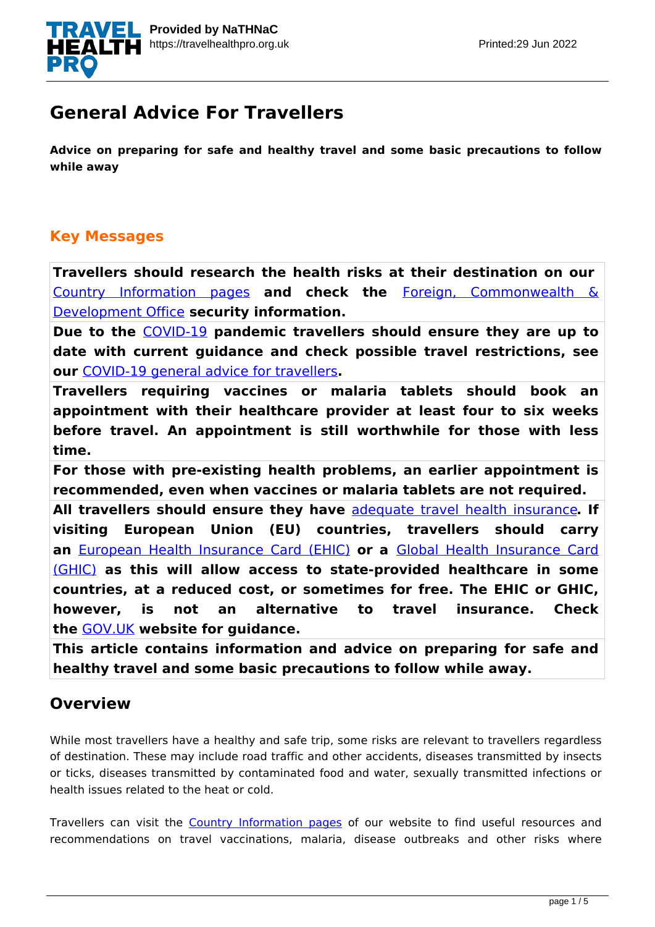

# **General Advice For Travellers**

**Advice on preparing for safe and healthy travel and some basic precautions to follow while away**

#### **Key Messages**

**Travellers should research the health risks at their destination on our** [Country Information pages](http://travelhealthpro.org.uk/countries) **and check the** [Foreign, Commonwealth &](https://www.gov.uk/foreign-travel-advice) [Development Office](https://www.gov.uk/foreign-travel-advice) **security information.**

**Due to the** [COVID-19](https://travelhealthpro.org.uk/disease/221/covid-19-coronavirus) **pandemic travellers should ensure they are up to date with current guidance and check possible travel restrictions, see our** [COVID-19 general advice for travellers](https://travelhealthpro.org.uk/news/499/covid-19-coronavirus-general-advice-for-travellers)**.**

**Travellers requiring vaccines or malaria tablets should book an appointment with their healthcare provider at least four to six weeks before travel. An appointment is still worthwhile for those with less time.**

**For those with pre-existing health problems, an earlier appointment is recommended, even when vaccines or malaria tablets are not required.**

**All travellers should ensure they have** [adequate travel health insurance](https://www.gov.uk/foreign-travel-insurance)**. If visiting European Union (EU) countries, travellers should carry an** [European Health Insurance Card \(EHIC\)](http://www.nhs.uk/NHSEngland/Healthcareabroad/EHIC/Pages/about-the-ehic.aspx) **or a** [Global Health Insurance Card](https://www.nhs.uk/using-the-nhs/healthcare-abroad/apply-for-a-free-ehic-european-health-insurance-card/) [\(GHIC\)](https://www.nhs.uk/using-the-nhs/healthcare-abroad/apply-for-a-free-ehic-european-health-insurance-card/) **as this will allow access to state-provided healthcare in some countries, at a reduced cost, or sometimes for free. The EHIC or GHIC, however, is not an alternative to travel insurance. Check the** [GOV.UK](https://www.gov.uk/guidance/uk-residents-visiting-the-eueea-and-switzerland-healthcare) **website for guidance.**

**This article contains information and advice on preparing for safe and healthy travel and some basic precautions to follow while away.**

## **Overview**

While most travellers have a healthy and safe trip, some risks are relevant to travellers regardless of destination. These may include road traffic and other accidents, diseases transmitted by insects or ticks, diseases transmitted by contaminated food and water, sexually transmitted infections or health issues related to the heat or cold.

Travellers can visit the [Country Information pages](http://travelhealthpro.org.uk/countries) of our website to find useful resources and recommendations on travel vaccinations, malaria, disease outbreaks and other risks where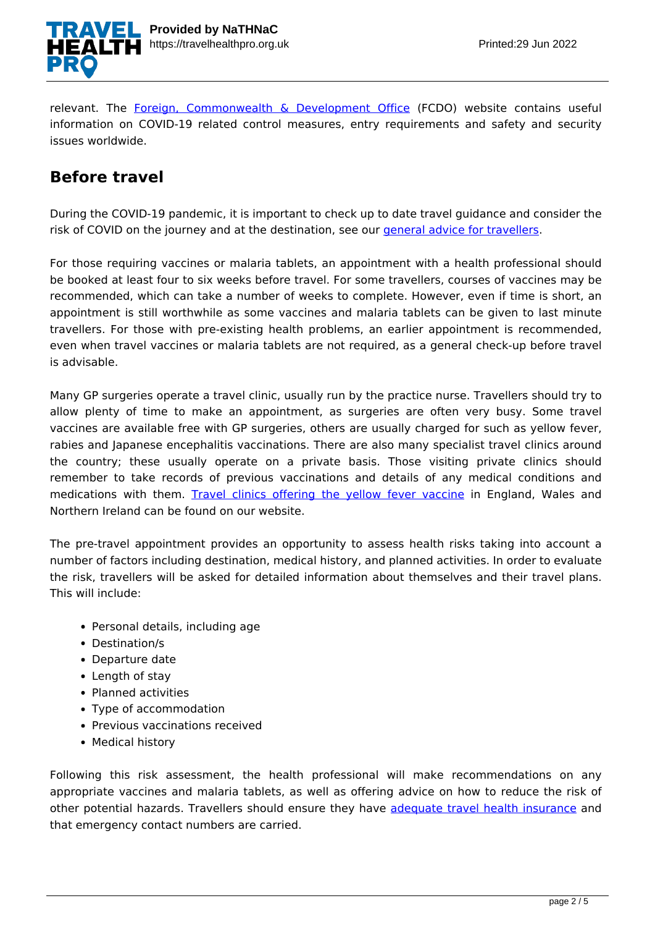

relevant. The Foreign, Commonwealth  $\&$  Development Office (FCDO) website contains useful information on COVID-19 related control measures, entry requirements and safety and security issues worldwide.

#### **Before travel**

During the COVID-19 pandemic, it is important to check up to date travel guidance and consider the risk of COVID on the journey and at the destination, see our *general advice for travellers*.

For those requiring vaccines or malaria tablets, an appointment with a health professional should be booked at least four to six weeks before travel. For some travellers, courses of vaccines may be recommended, which can take a number of weeks to complete. However, even if time is short, an appointment is still worthwhile as some vaccines and malaria tablets can be given to last minute travellers. For those with pre-existing health problems, an earlier appointment is recommended, even when travel vaccines or malaria tablets are not required, as a general check-up before travel is advisable.

Many GP surgeries operate a travel clinic, usually run by the practice nurse. Travellers should try to allow plenty of time to make an appointment, as surgeries are often very busy. Some travel vaccines are available free with GP surgeries, others are usually charged for such as yellow fever, rabies and Japanese encephalitis vaccinations. There are also many specialist travel clinics around the country; these usually operate on a private basis. Those visiting private clinics should remember to take records of previous vaccinations and details of any medical conditions and medications with them. [Travel clinics offering the yellow fever vaccine](http://nathnacyfzone.org.uk/search-centres) in England, Wales and Northern Ireland can be found on our website.

The pre-travel appointment provides an opportunity to assess health risks taking into account a number of factors including destination, medical history, and planned activities. In order to evaluate the risk, travellers will be asked for detailed information about themselves and their travel plans. This will include:

- Personal details, including age
- Destination/s
- Departure date
- Length of stay
- Planned activities
- Type of accommodation
- Previous vaccinations received
- Medical history

Following this risk assessment, the health professional will make recommendations on any appropriate vaccines and malaria tablets, as well as offering advice on how to reduce the risk of other potential hazards. Travellers should ensure they have [adequate travel health insurance](https://www.gov.uk/foreign-travel-insurance) and that emergency contact numbers are carried.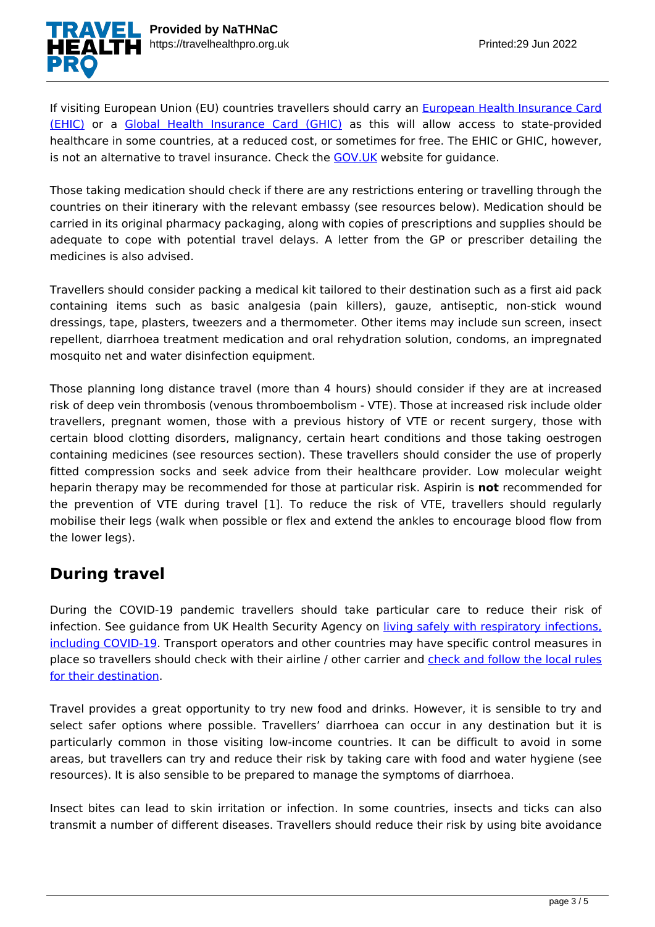

If visiting European Union (EU) countries travellers should carry an [European Health Insurance Card](http://www.nhs.uk/NHSEngland/Healthcareabroad/EHIC/Pages/about-the-ehic.aspx) [\(EHIC\)](http://www.nhs.uk/NHSEngland/Healthcareabroad/EHIC/Pages/about-the-ehic.aspx) or a [Global Health Insurance Card \(GHIC\)](https://www.nhs.uk/using-the-nhs/healthcare-abroad/apply-for-a-free-ehic-european-health-insurance-card/) as this will allow access to state-provided healthcare in some countries, at a reduced cost, or sometimes for free. The EHIC or GHIC, however, is not an alternative to travel insurance. Check the [GOV.UK](https://www.gov.uk/guidance/uk-residents-visiting-the-eueea-and-switzerland-healthcare) website for guidance.

Those taking medication should check if there are any restrictions entering or travelling through the countries on their itinerary with the relevant embassy (see resources below). Medication should be carried in its original pharmacy packaging, along with copies of prescriptions and supplies should be adequate to cope with potential travel delays. A letter from the GP or prescriber detailing the medicines is also advised.

Travellers should consider packing a medical kit tailored to their destination such as a first aid pack containing items such as basic analgesia (pain killers), gauze, antiseptic, non-stick wound dressings, tape, plasters, tweezers and a thermometer. Other items may include sun screen, insect repellent, diarrhoea treatment medication and oral rehydration solution, condoms, an impregnated mosquito net and water disinfection equipment.

Those planning long distance travel (more than 4 hours) should consider if they are at increased risk of deep vein thrombosis (venous thromboembolism - VTE). Those at increased risk include older travellers, pregnant women, those with a previous history of VTE or recent surgery, those with certain blood clotting disorders, malignancy, certain heart conditions and those taking oestrogen containing medicines (see resources section). These travellers should consider the use of properly fitted compression socks and seek advice from their healthcare provider. Low molecular weight heparin therapy may be recommended for those at particular risk. Aspirin is **not** recommended for the prevention of VTE during travel [1]. To reduce the risk of VTE, travellers should regularly mobilise their legs (walk when possible or flex and extend the ankles to encourage blood flow from the lower legs).

## **During travel**

During the COVID-19 pandemic travellers should take particular care to reduce their risk of infection. See guidance from UK Health Security Agency on *living safely with respiratory infections*. [including COVID-19.](https://www.gov.uk/guidance/living-safely-with-respiratory-infections-including-covid-19) Transport operators and other countries may have specific control measures in place so travellers should check with their airline / other carrier and [check and follow the local rules](https://www.gov.uk/foreign-travel-advice) [for their destination.](https://www.gov.uk/foreign-travel-advice)

Travel provides a great opportunity to try new food and drinks. However, it is sensible to try and select safer options where possible. Travellers' diarrhoea can occur in any destination but it is particularly common in those visiting low-income countries. It can be difficult to avoid in some areas, but travellers can try and reduce their risk by taking care with food and water hygiene (see resources). It is also sensible to be prepared to manage the symptoms of diarrhoea.

Insect bites can lead to skin irritation or infection. In some countries, insects and ticks can also transmit a number of different diseases. Travellers should reduce their risk by using bite avoidance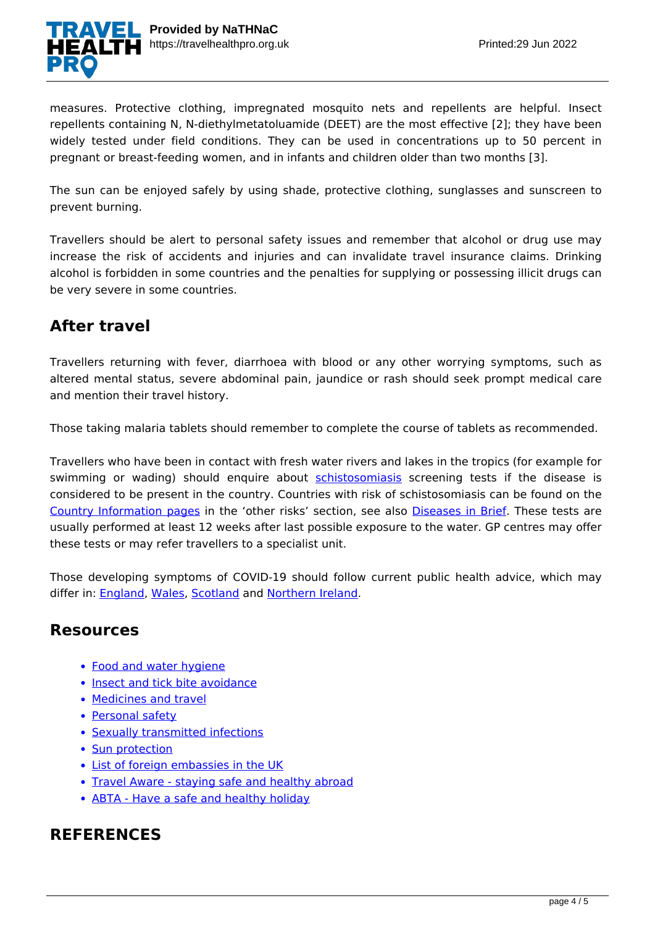

measures. Protective clothing, impregnated mosquito nets and repellents are helpful. Insect repellents containing N, N-diethylmetatoluamide (DEET) are the most effective [2]; they have been widely tested under field conditions. They can be used in concentrations up to 50 percent in pregnant or breast-feeding women, and in infants and children older than two months [3].

The sun can be enjoyed safely by using shade, protective clothing, sunglasses and sunscreen to prevent burning.

Travellers should be alert to personal safety issues and remember that alcohol or drug use may increase the risk of accidents and injuries and can invalidate travel insurance claims. Drinking alcohol is forbidden in some countries and the penalties for supplying or possessing illicit drugs can be very severe in some countries.

# **After travel**

Travellers returning with fever, diarrhoea with blood or any other worrying symptoms, such as altered mental status, severe abdominal pain, jaundice or rash should seek prompt medical care and mention their travel history.

Those taking malaria tablets should remember to complete the course of tablets as recommended.

Travellers who have been in contact with fresh water rivers and lakes in the tropics (for example for swimming or wading) should enquire about [schistosomiasis](https://travelhealthpro.org.uk/factsheet/28/schistosomiasis) screening tests if the disease is considered to be present in the country. Countries with risk of schistosomiasis can be found on the [Country Information pages](http://travelhealthpro.org.uk/countries) in the 'other risks' section, see also [Diseases in Brief](http://travelhealthpro.org.uk/diseases). These tests are usually performed at least 12 weeks after last possible exposure to the water. GP centres may offer these tests or may refer travellers to a specialist unit.

Those developing symptoms of COVID-19 should follow current public health advice, which may differ in: [England](https://www.gov.uk/guidance/people-with-symptoms-of-a-respiratory-infection-including-covid-19), [Wales,](https://gov.wales/coronavirus) [Scotland](https://www.gov.scot/coronavirus-covid-19/) and [Northern Ireland](https://www.nidirect.gov.uk/campaigns/coronavirus-covid-19).

#### **Resources**

- [Food and water hygiene](http://travelhealthpro.org.uk/factsheet/44/food-and-water-hygiene)
- [Insect and tick bite avoidance](http://travelhealthpro.org.uk/factsheet/38/insect-and-tick-bite-avoidance)
- [Medicines and travel](https://travelhealthpro.org.uk/factsheet/43/medicines-and-travel)
- [Personal safety](http://travelhealthpro.org.uk/factsheet/25/personal-safety)
- [Sexually transmitted infections](http://travelhealthpro.org.uk/factsheet/15/sexually-transmitted-infections)
- [Sun protection](http://travelhealthpro.org.uk/factsheet/23/sun-protection)
- [List of foreign embassies in the UK](https://www.gov.uk/government/publications/foreign-embassies-in-the-uk)
- [Travel Aware staying safe and healthy abroad](https://travelaware.campaign.gov.uk/)
- [ABTA Have a safe and healthy holiday](https://www.abta.com/tips-and-advice/staying-safe-on-holiday/safe-and-healthy-holidays-sun)

#### **REFERENCES**